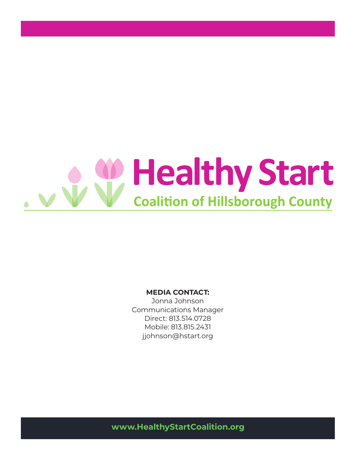

#### **MEDIA CONTACT:**

Jonna Johnson Communications Manager Direct: 813.514.0728 Mobile: 813.815.2431 jjohnson@hstart.org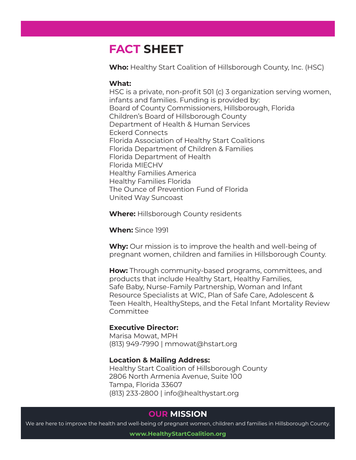# **FACT SHEET**

**Who:** Healthy Start Coalition of Hillsborough County, Inc. (HSC)

### **What:**

HSC is a private, non-profit 501 (c) 3 organization serving women, infants and families. Funding is provided by: Board of County Commissioners, Hillsborough, Florida Children's Board of Hillsborough County Department of Health & Human Services Eckerd Connects Florida Association of Healthy Start Coalitions Florida Department of Children & Families Florida Department of Health Florida MIECHV Healthy Families America Healthy Families Florida The Ounce of Prevention Fund of Florida United Way Suncoast

**Where:** Hillsborough County residents

**When:** Since 1991

**Why:** Our mission is to improve the health and well-being of pregnant women, children and families in Hillsborough County.

**How:** Through community-based programs, committees, and products that include Healthy Start, Healthy Families, Safe Baby, Nurse-Family Partnership, Woman and Infant Resource Specialists at WIC, Plan of Safe Care, Adolescent & Teen Health, HealthySteps, and the Fetal Infant Mortality Review **Committee** 

### **Executive Director:**

Marisa Mowat, MPH (813) 949-7990 | mmowat@hstart.org

#### **Location & Mailing Address:**

Healthy Start Coalition of Hillsborough County 2806 North Armenia Avenue, Suite 100 Tampa, Florida 33607 (813) 233-2800 | info@healthystart.org

## **OUR MISSION**

We are here to improve the health and well-being of pregnant women, children and families in Hillsborough County.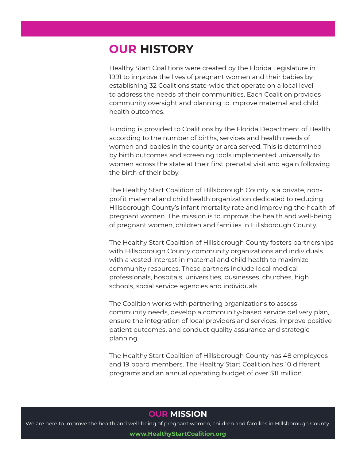# **OUR HISTORY**

Healthy Start Coalitions were created by the Florida Legislature in 1991 to improve the lives of pregnant women and their babies by establishing 32 Coalitions state-wide that operate on a local level to address the needs of their communities. Each Coalition provides community oversight and planning to improve maternal and child health outcomes.

Funding is provided to Coalitions by the Florida Department of Health according to the number of births, services and health needs of women and babies in the county or area served. This is determined by birth outcomes and screening tools implemented universally to women across the state at their first prenatal visit and again following the birth of their baby.

The Healthy Start Coalition of Hillsborough County is a private, nonprofit maternal and child health organization dedicated to reducing Hillsborough County's infant mortality rate and improving the health of pregnant women. The mission is to improve the health and well-being of pregnant women, children and families in Hillsborough County.

The Healthy Start Coalition of Hillsborough County fosters partnerships with Hillsborough County community organizations and individuals with a vested interest in maternal and child health to maximize community resources. These partners include local medical professionals, hospitals, universities, businesses, churches, high schools, social service agencies and individuals.

The Coalition works with partnering organizations to assess community needs, develop a community-based service delivery plan, ensure the integration of local providers and services, improve positive patient outcomes, and conduct quality assurance and strategic planning.

The Healthy Start Coalition of Hillsborough County has 48 employees and 19 board members. The Healthy Start Coalition has 10 different programs and an annual operating budget of over \$11 million.

### **OUR MISSION**

We are here to improve the health and well-being of pregnant women, children and families in Hillsborough County. **www.HealthyStartCoalition.org**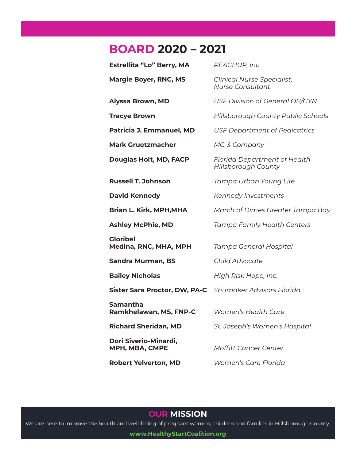## **BOARD 2020 – 2021**

| Estrellita "Lo" Berry, MA                               | REACHUP, Inc.                                                |
|---------------------------------------------------------|--------------------------------------------------------------|
| <b>Margie Boyer, RNC, MS</b>                            | <b>Clinical Nurse Specialist,</b><br><b>Nurse Consultant</b> |
| <b>Alyssa Brown, MD</b>                                 | <b>USF Division of General OB/GYN</b>                        |
| <b>Tracye Brown</b>                                     | Hillsborough County Public Schools                           |
| Patricia J. Emmanuel, MD                                | <b>USF Department of Pedicatrics</b>                         |
| <b>Mark Gruetzmacher</b>                                | <b>MG &amp; Company</b>                                      |
| Douglas Holt, MD, FACP                                  | <b>Florida Department of Health</b><br>Hillsborough County   |
| <b>Russell T. Johnson</b>                               | Tampa Urban Young Life                                       |
| <b>David Kennedy</b>                                    | Kennedy Investments                                          |
| <b>Brian L. Kirk, MPH,MHA</b>                           | March of Dimes Greater Tampa Bay                             |
| Ashley McPhie, MD                                       | Tampa Family Health Centers                                  |
| <b>Gloribel</b><br>Medina, RNC, MHA, MPH                | Tampa General Hospital                                       |
| Sandra Murman, BS                                       | <b>Child Advocate</b>                                        |
| <b>Bailey Nicholas</b>                                  | High Risk Hope, Inc.                                         |
| Sister Sara Proctor, DW, PA-C Shumaker Advisors Florida |                                                              |
| Samantha<br>Ramkhelawan, MS, FNP-C                      | <b>Women's Health Care</b>                                   |
| <b>Richard Sheridan, MD</b>                             | St. Joseph's Women's Hospital                                |
| Dori Siverio-Minardi,<br>MPH, MBA, CMPE                 | Moffitt Cancer Center                                        |
| <b>Robert Yelverton, MD</b>                             | Women's Care Florida                                         |

### **OUR MISSION**

We are here to improve the health and well-being of pregnant women, children and families in Hillsborough County.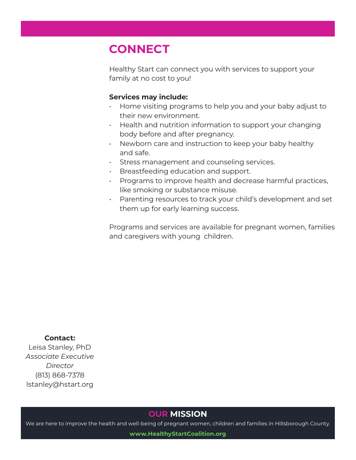# **CONNECT**

Healthy Start can connect you with services to support your family at no cost to you!

### **Services may include:**

- Home visiting programs to help you and your baby adjust to their new environment.
- Health and nutrition information to support your changing body before and after pregnancy.
- Newborn care and instruction to keep your baby healthy and safe.
- Stress management and counseling services.
- Breastfeeding education and support.
- Programs to improve health and decrease harmful practices, like smoking or substance misuse.
- Parenting resources to track your child's development and set them up for early learning success.

Programs and services are available for pregnant women, families and caregivers with young children.

**Contact:** Leisa Stanley, PhD *Associate Executive Director* (813) 868-7378 lstanley@hstart.org

## **OUR MISSION**

We are here to improve the health and well-being of pregnant women, children and families in Hillsborough County.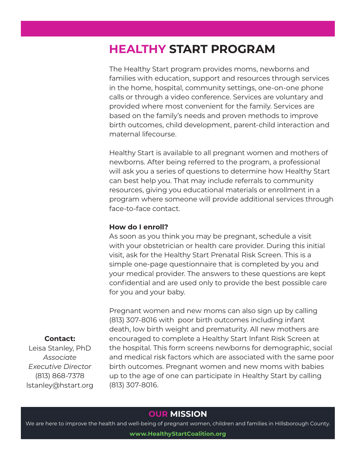# **HEALTHY START PROGRAM**

The Healthy Start program provides moms, newborns and families with education, support and resources through services in the home, hospital, community settings, one-on-one phone calls or through a video conference. Services are voluntary and provided where most convenient for the family. Services are based on the family's needs and proven methods to improve birth outcomes, child development, parent-child interaction and maternal lifecourse.

Healthy Start is available to all pregnant women and mothers of newborns. After being referred to the program, a professional will ask you a series of questions to determine how Healthy Start can best help you. That may include referrals to community resources, giving you educational materials or enrollment in a program where someone will provide additional services through face-to-face contact.

### **How do I enroll?**

**Contact:** Leisa Stanley, PhD *Associate Executive Director* (813) 868-7378 lstanley@hstart.org

As soon as you think you may be pregnant, schedule a visit with your obstetrician or health care provider. During this initial visit, ask for the Healthy Start Prenatal Risk Screen. This is a simple one-page questionnaire that is completed by you and your medical provider. The answers to these questions are kept confidential and are used only to provide the best possible care for you and your baby.

Pregnant women and new moms can also sign up by calling (813) 307-8016 with poor birth outcomes including infant death, low birth weight and prematurity. All new mothers are encouraged to complete a Healthy Start Infant Risk Screen at the hospital. This form screens newborns for demographic, social and medical risk factors which are associated with the same poor birth outcomes. Pregnant women and new moms with babies up to the age of one can participate in Healthy Start by calling (813) 307-8016.

## **OUR MISSION**

We are here to improve the health and well-being of pregnant women, children and families in Hillsborough County.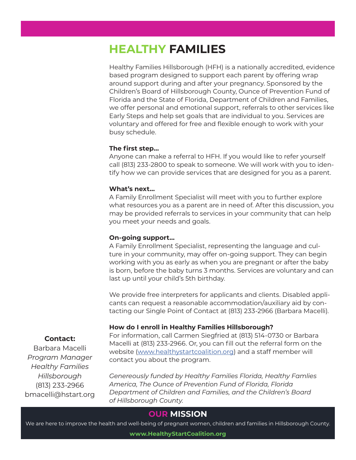## **HEALTHY FAMILIES**

Healthy Families Hillsborough (HFH) is a nationally accredited, evidence based program designed to support each parent by offering wrap around support during and after your pregnancy. Sponsored by the Children's Board of Hillsborough County, Ounce of Prevention Fund of Florida and the State of Florida, Department of Children and Families, we offer personal and emotional support, referrals to other services like Early Steps and help set goals that are individual to you. Services are voluntary and offered for free and flexible enough to work with your busy schedule.

#### **The first step…**

Anyone can make a referral to HFH. If you would like to refer yourself call (813) 233-2800 to speak to someone. We will work with you to identify how we can provide services that are designed for you as a parent.

#### **What's next…**

A Family Enrollment Specialist will meet with you to further explore what resources you as a parent are in need of. After this discussion, you may be provided referrals to services in your community that can help you meet your needs and goals.

#### **On-going support…**

A Family Enrollment Specialist, representing the language and culture in your community, may offer on-going support. They can begin working with you as early as when you are pregnant or after the baby is born, before the baby turns 3 months. Services are voluntary and can last up until your child's 5th birthday.

We provide free interpreters for applicants and clients. Disabled applicants can request a reasonable accommodation/auxiliary aid by contacting our Single Point of Contact at (813) 233-2966 (Barbara Macelli).

#### **How do I enroll in Healthy Families Hillsborough?**

For information, call Carmen Siegfried at (813) 514-0730 or Barbara Macelli at (813) 233-2966. Or, you can fill out the referral form on the website (www.healthystartcoalition.org) and a staff member will contact you about the program.

#### **Contact:**

Barbara Macelli *Program Manager Healthy Families Hillsborough* (813) 233-2966 bmacelli@hstart.org

*Genereously funded by Healthy Families Florida, Healthy Famlies America, The Ounce of Prevention Fund of Florida, Florida Department of Children and Families, and the Children's Board of Hillsborough County.*

### **OUR MISSION**

We are here to improve the health and well-being of pregnant women, children and families in Hillsborough County.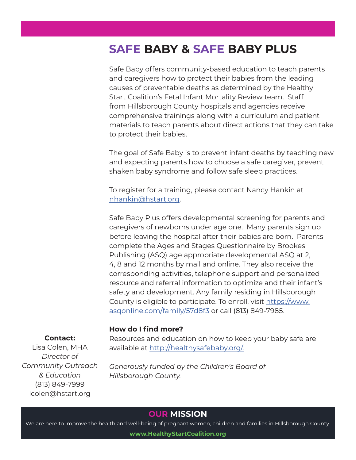# **SAFE BABY & SAFE BABY PLUS**

Safe Baby offers community-based education to teach parents and caregivers how to protect their babies from the leading causes of preventable deaths as determined by the Healthy Start Coalition's Fetal Infant Mortality Review team. Staff from Hillsborough County hospitals and agencies receive comprehensive trainings along with a curriculum and patient materials to teach parents about direct actions that they can take to protect their babies.

The goal of Safe Baby is to prevent infant deaths by teaching new and expecting parents how to choose a safe caregiver, prevent shaken baby syndrome and follow safe sleep practices.

To register for a training, please contact Nancy Hankin at nhankin@hstart.org.

Safe Baby Plus offers developmental screening for parents and caregivers of newborns under age one. Many parents sign up before leaving the hospital after their babies are born. Parents complete the Ages and Stages Questionnaire by Brookes Publishing (ASQ) age appropriate developmental ASQ at 2, 4, 8 and 12 months by mail and online. They also receive the corresponding activities, telephone support and personalized resource and referral information to optimize and their infant's safety and development. Any family residing in Hillsborough County is eligible to participate. To enroll, visit https://www. asqonline.com/family/57d8f3 or call (813) 849-7985.

#### **How do I find more?**

#### **Contact:**

Lisa Colen, MHA *Director of Community Outreach & Education* (813) 849-7999 lcolen@hstart.org

Resources and education on how to keep your baby safe are available at http://healthysafebaby.org/.

*Generously funded by the Children's Board of Hillsborough County.*

### **OUR MISSION**

We are here to improve the health and well-being of pregnant women, children and families in Hillsborough County.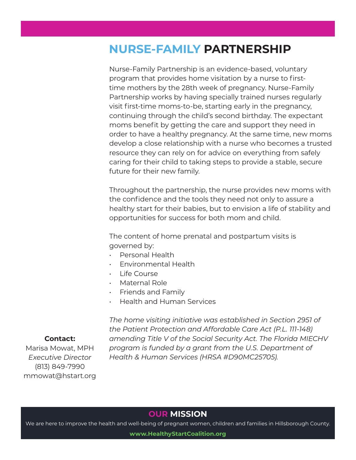# **NURSE-FAMILY PARTNERSHIP**

Nurse-Family Partnership is an evidence-based, voluntary program that provides home visitation by a nurse to firsttime mothers by the 28th week of pregnancy. Nurse-Family Partnership works by having specially trained nurses regularly visit first-time moms-to-be, starting early in the pregnancy, continuing through the child's second birthday. The expectant moms benefit by getting the care and support they need in order to have a healthy pregnancy. At the same time, new moms develop a close relationship with a nurse who becomes a trusted resource they can rely on for advice on everything from safely caring for their child to taking steps to provide a stable, secure future for their new family.

Throughout the partnership, the nurse provides new moms with the confidence and the tools they need not only to assure a healthy start for their babies, but to envision a life of stability and opportunities for success for both mom and child.

The content of home prenatal and postpartum visits is governed by:

- Personal Health
- Environmental Health
- Life Course
- Maternal Role
- Friends and Family
- Health and Human Services

*The home visiting initiative was established in Section 2951 of the Patient Protection and Affordable Care Act (P.L. 111-148) amending Title V of the Social Security Act. The Florida MIECHV program is funded by a grant from the U.S. Department of Health & Human Services (HRSA #D90MC25705).*

#### **Contact:**

Marisa Mowat, MPH *Executive Director* (813) 849-7990 mmowat@hstart.org

## **OUR MISSION**

We are here to improve the health and well-being of pregnant women, children and families in Hillsborough County.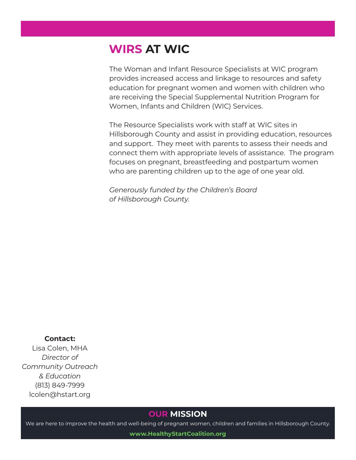# **WIRS AT WIC**

The Woman and Infant Resource Specialists at WIC program provides increased access and linkage to resources and safety education for pregnant women and women with children who are receiving the Special Supplemental Nutrition Program for Women, Infants and Children (WIC) Services.

The Resource Specialists work with staff at WIC sites in Hillsborough County and assist in providing education, resources and support. They meet with parents to assess their needs and connect them with appropriate levels of assistance. The program focuses on pregnant, breastfeeding and postpartum women who are parenting children up to the age of one year old.

*Generously funded by the Children's Board of Hillsborough County.*

#### **Contact:**

Lisa Colen, MHA *Director of Community Outreach & Education* (813) 849-7999 lcolen@hstart.org

### **OUR MISSION**

We are here to improve the health and well-being of pregnant women, children and families in Hillsborough County.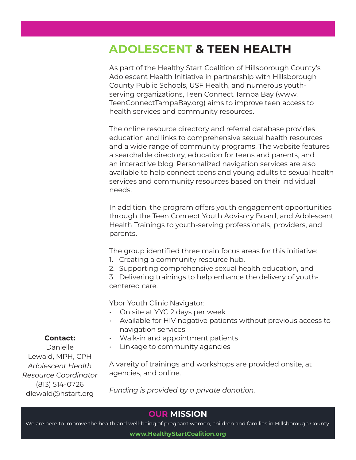# **ADOLESCENT & TEEN HEALTH**

As part of the Healthy Start Coalition of Hillsborough County's Adolescent Health Initiative in partnership with Hillsborough County Public Schools, USF Health, and numerous youthserving organizations, Teen Connect Tampa Bay (www. TeenConnectTampaBay.org) aims to improve teen access to health services and community resources.

The online resource directory and referral database provides education and links to comprehensive sexual health resources and a wide range of community programs. The website features a searchable directory, education for teens and parents, and an interactive blog. Personalized navigation services are also available to help connect teens and young adults to sexual health services and community resources based on their individual needs.

In addition, the program offers youth engagement opportunities through the Teen Connect Youth Advisory Board, and Adolescent Health Trainings to youth-serving professionals, providers, and parents.

The group identified three main focus areas for this initiative:

- 1. Creating a community resource hub,
- 2. Supporting comprehensive sexual health education, and

3. Delivering trainings to help enhance the delivery of youthcentered care.

Ybor Youth Clinic Navigator:

- On site at YYC 2 days per week
- Available for HIV negative patients without previous access to navigation services
- Walk-in and appointment patients
- Linkage to community agencies

A vareity of trainings and workshops are provided onsite, at agencies, and online.

*Funding is provided by a private donation.*

## **OUR MISSION**

We are here to improve the health and well-being of pregnant women, children and families in Hillsborough County.

**www.HealthyStartCoalition.org**

**Contact:**

Danielle Lewald, MPH, CPH *Adolescent Health Resource Coordinator* (813) 514-0726 dlewald@hstart.org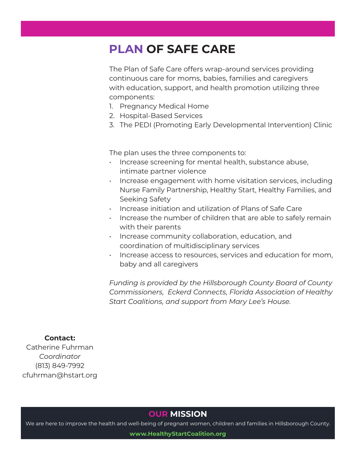# **PLAN OF SAFE CARE**

The Plan of Safe Care offers wrap-around services providing continuous care for moms, babies, families and caregivers with education, support, and health promotion utilizing three components:

- 1. Pregnancy Medical Home
- 2. Hospital-Based Services
- 3. The PEDI (Promoting Early Developmental Intervention) Clinic

The plan uses the three components to:

- Increase screening for mental health, substance abuse, intimate partner violence
- Increase engagement with home visitation services, including Nurse Family Partnership, Healthy Start, Healthy Families, and Seeking Safety
- Increase initiation and utilization of Plans of Safe Care
- $\cdot$  Increase the number of children that are able to safely remain with their parents
- Increase community collaboration, education, and coordination of multidisciplinary services
- Increase access to resources, services and education for mom, baby and all caregivers

*Funding is provided by the Hillsborough County Board of County Commissioners, Eckerd Connects, Florida Association of Healthy Start Coalitions, and support from Mary Lee's House.*

#### **Contact:**

Catherine Fuhrman *Coordinator* (813) 849-7992 cfuhrman@hstart.org

### **OUR MISSION**

We are here to improve the health and well-being of pregnant women, children and families in Hillsborough County.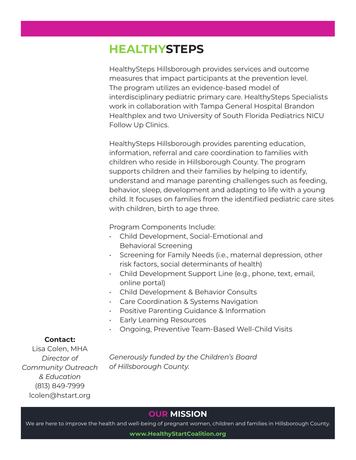# **HEALTHYSTEPS**

HealthySteps Hillsborough provides services and outcome measures that impact participants at the prevention level. The program utilizes an evidence-based model of interdisciplinary pediatric primary care. HealthySteps Specialists work in collaboration with Tampa General Hospital Brandon Healthplex and two University of South Florida Pediatrics NICU Follow Up Clinics.

HealthySteps Hillsborough provides parenting education, information, referral and care coordination to families with children who reside in Hillsborough County. The program supports children and their families by helping to identify, understand and manage parenting challenges such as feeding, behavior, sleep, development and adapting to life with a young child. It focuses on families from the identified pediatric care sites with children, birth to age three.

Program Components Include:

- Child Development, Social-Emotional and Behavioral Screening
- Screening for Family Needs (i.e., maternal depression, other risk factors, social determinants of health)
- Child Development Support Line (e.g., phone, text, email, online portal)
- Child Development & Behavior Consults
- Care Coordination & Systems Navigation
- Positive Parenting Guidance & Information
- Early Learning Resources
- Ongoing, Preventive Team-Based Well-Child Visits

### **Contact:**

Lisa Colen, MHA *Director of Community Outreach & Education* (813) 849-7999 lcolen@hstart.org

*Generously funded by the Children's Board of Hillsborough County.*

## **OUR MISSION**

We are here to improve the health and well-being of pregnant women, children and families in Hillsborough County.